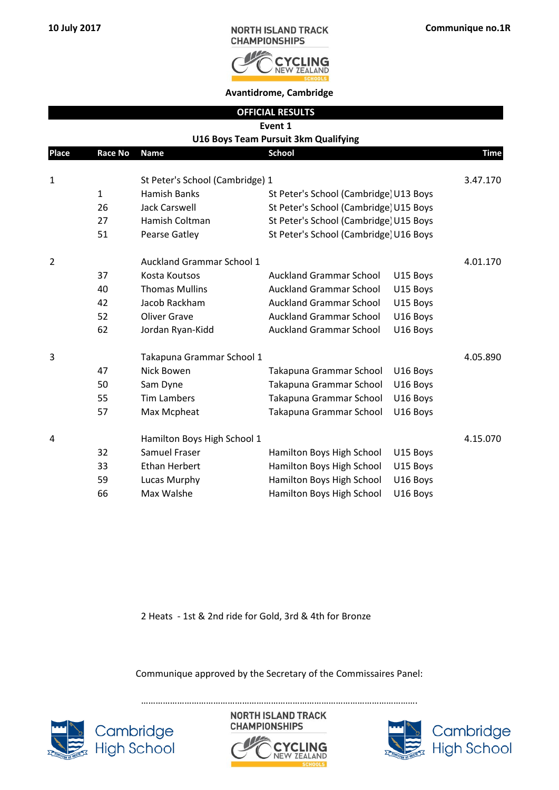

**Avantidrome, Cambridge**

|              |                |                                  | <b>OFFICIAL RESULTS</b>                |          |             |
|--------------|----------------|----------------------------------|----------------------------------------|----------|-------------|
|              |                |                                  | Event 1                                |          |             |
|              |                |                                  | U16 Boys Team Pursuit 3km Qualifying   |          |             |
| <b>Place</b> | <b>Race No</b> | <b>Name</b>                      | <b>School</b>                          |          | <b>Time</b> |
|              |                |                                  |                                        |          |             |
| 1            |                | St Peter's School (Cambridge) 1  |                                        |          | 3.47.170    |
|              | $\mathbf{1}$   | <b>Hamish Banks</b>              | St Peter's School (Cambridge) U13 Boys |          |             |
|              | 26             | <b>Jack Carswell</b>             | St Peter's School (Cambridge) U15 Boys |          |             |
|              | 27             | Hamish Coltman                   | St Peter's School (Cambridge) U15 Boys |          |             |
|              | 51             | Pearse Gatley                    | St Peter's School (Cambridge) U16 Boys |          |             |
| 2            |                | <b>Auckland Grammar School 1</b> |                                        |          | 4.01.170    |
|              | 37             | Kosta Koutsos                    | <b>Auckland Grammar School</b>         | U15 Boys |             |
|              | 40             | <b>Thomas Mullins</b>            | <b>Auckland Grammar School</b>         | U15 Boys |             |
|              | 42             | Jacob Rackham                    | <b>Auckland Grammar School</b>         | U15 Boys |             |
|              | 52             | <b>Oliver Grave</b>              | <b>Auckland Grammar School</b>         | U16 Boys |             |
|              | 62             | Jordan Ryan-Kidd                 | <b>Auckland Grammar School</b>         | U16 Boys |             |
| 3            |                | Takapuna Grammar School 1        |                                        |          | 4.05.890    |
|              | 47             | Nick Bowen                       | Takapuna Grammar School                | U16 Boys |             |
|              | 50             | Sam Dyne                         | Takapuna Grammar School                | U16 Boys |             |
|              | 55             | <b>Tim Lambers</b>               | Takapuna Grammar School                | U16 Boys |             |
|              | 57             | Max Mcpheat                      | Takapuna Grammar School                | U16 Boys |             |
| 4            |                | Hamilton Boys High School 1      |                                        |          | 4.15.070    |
|              | 32             | Samuel Fraser                    | Hamilton Boys High School              | U15 Boys |             |
|              | 33             | <b>Ethan Herbert</b>             | Hamilton Boys High School              | U15 Boys |             |
|              | 59             |                                  |                                        |          |             |
|              |                | Lucas Murphy                     | Hamilton Boys High School              | U16 Boys |             |
|              | 66             | Max Walshe                       | Hamilton Boys High School              | U16 Boys |             |

2 Heats - 1st & 2nd ride for Gold, 3rd & 4th for Bronze

Communique approved by the Secretary of the Commissaires Panel:

…………………………………………………………………………………………………….





**NORTH ISLAND TRACK** 

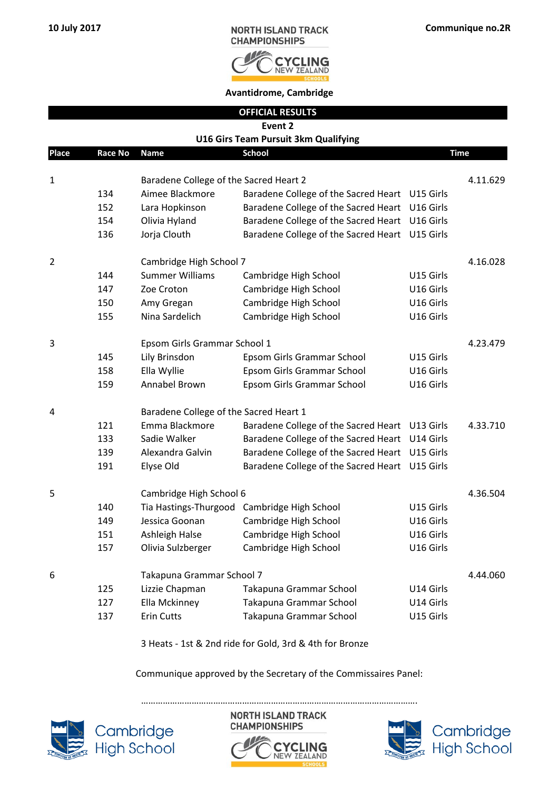

**Avantidrome, Cambridge**

|                | <b>OFFICIAL RESULTS</b> |                                        |                                                |           |             |  |
|----------------|-------------------------|----------------------------------------|------------------------------------------------|-----------|-------------|--|
|                |                         |                                        | Event 2                                        |           |             |  |
|                |                         |                                        | U16 Girs Team Pursuit 3km Qualifying           |           |             |  |
| <b>Place</b>   | Race No                 | <b>Name</b>                            | <b>School</b>                                  |           | <b>Time</b> |  |
| 1              |                         | Baradene College of the Sacred Heart 2 |                                                |           | 4.11.629    |  |
|                | 134                     | Aimee Blackmore                        | Baradene College of the Sacred Heart U15 Girls |           |             |  |
|                | 152                     | Lara Hopkinson                         | Baradene College of the Sacred Heart           | U16 Girls |             |  |
|                | 154                     | Olivia Hyland                          | Baradene College of the Sacred Heart           | U16 Girls |             |  |
|                | 136                     | Jorja Clouth                           | Baradene College of the Sacred Heart           | U15 Girls |             |  |
| $\overline{2}$ |                         | Cambridge High School 7                |                                                |           | 4.16.028    |  |
|                | 144                     | <b>Summer Williams</b>                 | Cambridge High School                          | U15 Girls |             |  |
|                | 147                     | Zoe Croton                             | Cambridge High School                          | U16 Girls |             |  |
|                | 150                     | Amy Gregan                             | Cambridge High School                          | U16 Girls |             |  |
|                | 155                     | Nina Sardelich                         | Cambridge High School                          | U16 Girls |             |  |
| 3              |                         | Epsom Girls Grammar School 1           |                                                |           | 4.23.479    |  |
|                | 145                     | Lily Brinsdon                          | Epsom Girls Grammar School                     | U15 Girls |             |  |
|                | 158                     | Ella Wyllie                            | Epsom Girls Grammar School                     | U16 Girls |             |  |
|                | 159                     | Annabel Brown                          | Epsom Girls Grammar School                     | U16 Girls |             |  |
| 4              |                         | Baradene College of the Sacred Heart 1 |                                                |           |             |  |
|                | 121                     | Emma Blackmore                         | Baradene College of the Sacred Heart U13 Girls |           | 4.33.710    |  |
|                | 133                     | Sadie Walker                           | Baradene College of the Sacred Heart           | U14 Girls |             |  |
|                | 139                     | Alexandra Galvin                       | Baradene College of the Sacred Heart           | U15 Girls |             |  |
|                | 191                     | Elyse Old                              | Baradene College of the Sacred Heart           | U15 Girls |             |  |
| 5              |                         | Cambridge High School 6                |                                                |           | 4.36.504    |  |
|                | 140                     |                                        | Tia Hastings-Thurgood Cambridge High School    | U15 Girls |             |  |
|                | 149                     |                                        | Jessica Goonan Cambridge High School           | U16 Girls |             |  |
|                | 151                     | Ashleigh Halse                         | Cambridge High School                          | U16 Girls |             |  |
|                | 157                     | Olivia Sulzberger                      | Cambridge High School                          | U16 Girls |             |  |
| 6              |                         | Takapuna Grammar School 7              |                                                |           | 4.44.060    |  |
|                | 125                     | Lizzie Chapman                         | Takapuna Grammar School                        | U14 Girls |             |  |
|                | 127                     | Ella Mckinney                          | Takapuna Grammar School                        | U14 Girls |             |  |
|                | 137                     | <b>Erin Cutts</b>                      | Takapuna Grammar School                        | U15 Girls |             |  |

3 Heats - 1st & 2nd ride for Gold, 3rd & 4th for Bronze

Communique approved by the Secretary of the Commissaires Panel:



**NORTH ISLAND TRACK CHAMPIONSHIPS CLING** 

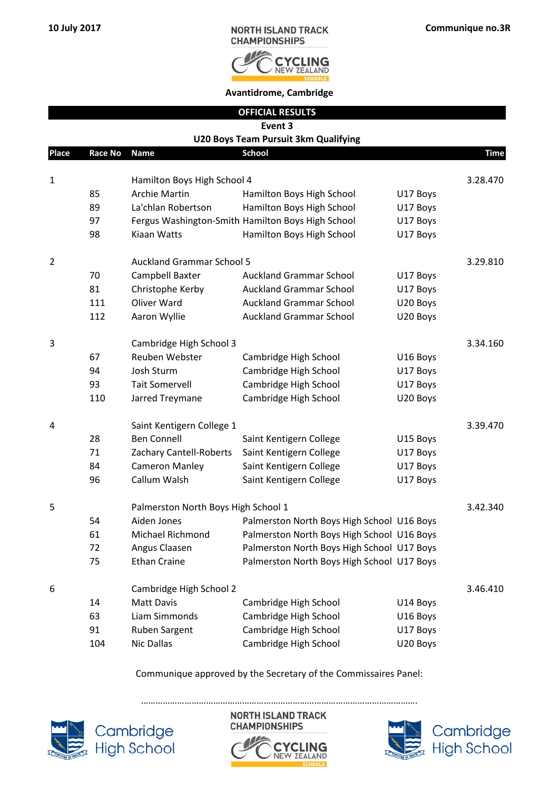

|                | <b>OFFICIAL RESULTS</b><br>Event 3 |                                     |                                                               |          |             |  |
|----------------|------------------------------------|-------------------------------------|---------------------------------------------------------------|----------|-------------|--|
|                |                                    |                                     | <b>U20 Boys Team Pursuit 3km Qualifying</b>                   |          |             |  |
| Place          | <b>Race No</b>                     | <b>Name</b>                         | <b>School</b>                                                 |          | <b>Time</b> |  |
|                |                                    |                                     |                                                               |          |             |  |
| $\mathbf 1$    |                                    | Hamilton Boys High School 4         |                                                               |          | 3.28.470    |  |
|                | 85                                 | <b>Archie Martin</b>                | Hamilton Boys High School                                     | U17 Boys |             |  |
|                | 89                                 | La'chlan Robertson                  | Hamilton Boys High School                                     | U17 Boys |             |  |
|                | 97                                 |                                     | Fergus Washington-Smith Hamilton Boys High School             | U17 Boys |             |  |
|                | 98                                 | Kiaan Watts                         | Hamilton Boys High School                                     | U17 Boys |             |  |
| $\overline{2}$ |                                    | <b>Auckland Grammar School 5</b>    |                                                               |          | 3.29.810    |  |
|                | 70                                 | Campbell Baxter                     | <b>Auckland Grammar School</b>                                | U17 Boys |             |  |
|                | 81                                 | Christophe Kerby                    | <b>Auckland Grammar School</b>                                | U17 Boys |             |  |
|                | 111                                | Oliver Ward                         | <b>Auckland Grammar School</b>                                | U20 Boys |             |  |
|                | 112                                | Aaron Wyllie                        | <b>Auckland Grammar School</b>                                | U20 Boys |             |  |
| 3              |                                    | Cambridge High School 3             |                                                               |          | 3.34.160    |  |
|                | 67                                 | Reuben Webster                      | Cambridge High School                                         | U16 Boys |             |  |
|                | 94                                 | Josh Sturm                          | Cambridge High School                                         | U17 Boys |             |  |
|                | 93                                 | <b>Tait Somervell</b>               | Cambridge High School                                         | U17 Boys |             |  |
|                | 110                                | Jarred Treymane                     | Cambridge High School                                         | U20 Boys |             |  |
| 4              |                                    | Saint Kentigern College 1           |                                                               |          | 3.39.470    |  |
|                | 28                                 | <b>Ben Connell</b>                  | Saint Kentigern College                                       | U15 Boys |             |  |
|                | 71                                 | Zachary Cantell-Roberts             | Saint Kentigern College                                       | U17 Boys |             |  |
|                | 84                                 | <b>Cameron Manley</b>               | Saint Kentigern College                                       | U17 Boys |             |  |
|                | 96                                 | Callum Walsh                        | Saint Kentigern College                                       | U17 Boys |             |  |
|                |                                    |                                     |                                                               |          |             |  |
| 5              |                                    | Palmerston North Boys High School 1 |                                                               |          | 3.42.340    |  |
|                | 54                                 |                                     | Aiden Jones <b>Ralmerston North Boys High School U16 Boys</b> |          |             |  |
|                | 61                                 | Michael Richmond                    | Palmerston North Boys High School U16 Boys                    |          |             |  |
|                | 72                                 | Angus Claasen                       | Palmerston North Boys High School U17 Boys                    |          |             |  |
|                | 75                                 | <b>Ethan Craine</b>                 | Palmerston North Boys High School U17 Boys                    |          |             |  |
| 6              |                                    | Cambridge High School 2             |                                                               |          | 3.46.410    |  |
|                | 14                                 | <b>Matt Davis</b>                   | Cambridge High School                                         | U14 Boys |             |  |
|                | 63                                 | Liam Simmonds                       | Cambridge High School                                         | U16 Boys |             |  |
|                | 91                                 | Ruben Sargent                       | Cambridge High School                                         | U17 Boys |             |  |
|                | 104                                | Nic Dallas                          | Cambridge High School                                         | U20 Boys |             |  |

Communique approved by the Secretary of the Commissaires Panel:



Cambridge<br>High School



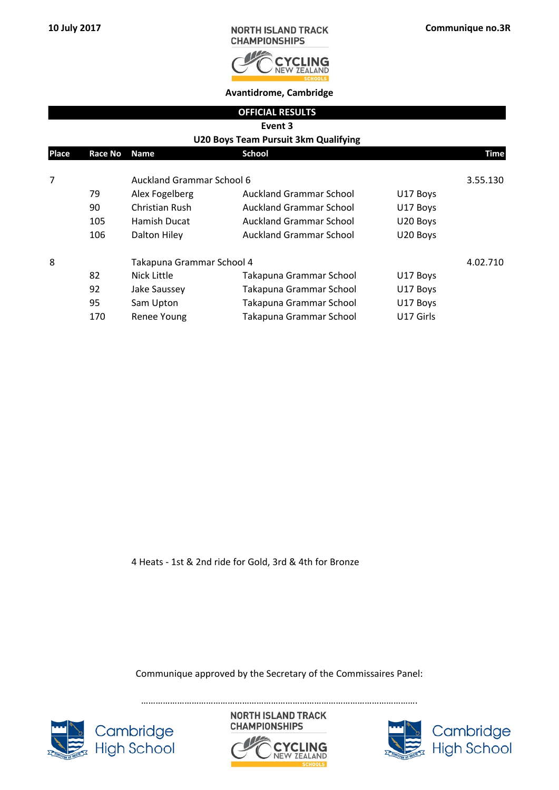

| <b>OFFICIAL RESULTS</b>              |  |
|--------------------------------------|--|
| Event 3                              |  |
| U20 Boys Team Pursuit 3km Qualifying |  |

| Place | Race No | <b>Name</b>               | <b>School</b>                  |           | Time     |
|-------|---------|---------------------------|--------------------------------|-----------|----------|
| 7     |         | Auckland Grammar School 6 |                                |           | 3.55.130 |
|       | 79      | Alex Fogelberg            | <b>Auckland Grammar School</b> | U17 Boys  |          |
|       | 90      | Christian Rush            | <b>Auckland Grammar School</b> | U17 Boys  |          |
|       | 105     | Hamish Ducat              | <b>Auckland Grammar School</b> | U20 Boys  |          |
|       | 106     | Dalton Hiley              | <b>Auckland Grammar School</b> | U20 Boys  |          |
| 8     |         | Takapuna Grammar School 4 |                                |           | 4.02.710 |
|       | 82      | Nick Little               | Takapuna Grammar School        | U17 Boys  |          |
|       | 92      | Jake Saussey              | Takapuna Grammar School        | U17 Boys  |          |
|       | 95      | Sam Upton                 | Takapuna Grammar School        | U17 Boys  |          |
|       | 170     | Renee Young               | Takapuna Grammar School        | U17 Girls |          |

4 Heats - 1st & 2nd ride for Gold, 3rd & 4th for Bronze

Communique approved by the Secretary of the Commissaires Panel:



**NORTH ISLAND TRACK CHAMPIONSHIPS** 



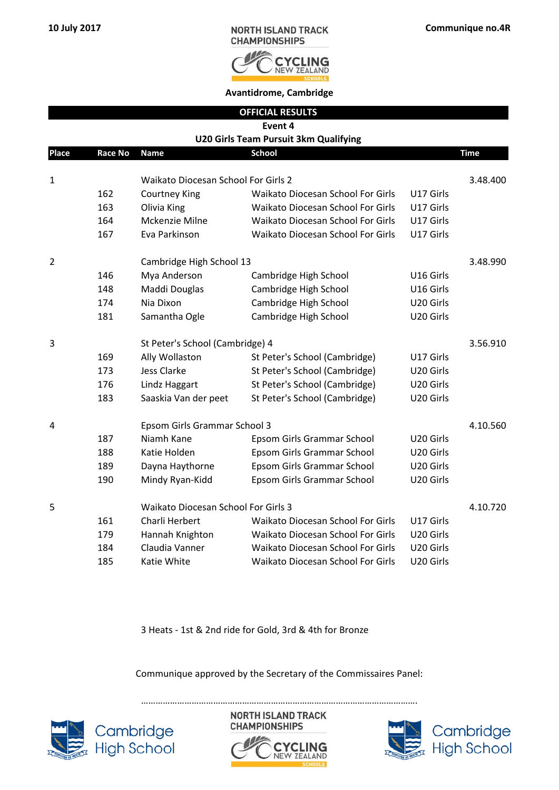

**Avantidrome, Cambridge**

|  | <b>OFFICIAL RESULTS</b> |  |
|--|-------------------------|--|
|  |                         |  |

**Event 4**

|  | U20 Girls Team Pursuit 3km Qualifying |
|--|---------------------------------------|
|  |                                       |

| <b>Place</b> | Race No | <b>Name</b>                         | <b>School</b>                            |           | Time     |
|--------------|---------|-------------------------------------|------------------------------------------|-----------|----------|
| $\mathbf 1$  |         | Waikato Diocesan School For Girls 2 |                                          |           | 3.48.400 |
|              | 162     | <b>Courtney King</b>                | Waikato Diocesan School For Girls        | U17 Girls |          |
|              | 163     | Olivia King                         | <b>Waikato Diocesan School For Girls</b> | U17 Girls |          |
|              | 164     | Mckenzie Milne                      | Waikato Diocesan School For Girls        | U17 Girls |          |
|              | 167     | Eva Parkinson                       | <b>Waikato Diocesan School For Girls</b> | U17 Girls |          |
| 2            |         | Cambridge High School 13            |                                          |           | 3.48.990 |
|              | 146     | Mya Anderson                        | Cambridge High School                    | U16 Girls |          |
|              | 148     | Maddi Douglas                       | Cambridge High School                    | U16 Girls |          |
|              | 174     | Nia Dixon                           | Cambridge High School                    | U20 Girls |          |
|              | 181     | Samantha Ogle                       | Cambridge High School                    | U20 Girls |          |
| 3            |         | St Peter's School (Cambridge) 4     |                                          |           | 3.56.910 |
|              | 169     | Ally Wollaston                      | St Peter's School (Cambridge)            | U17 Girls |          |
|              | 173     | <b>Jess Clarke</b>                  | St Peter's School (Cambridge)            | U20 Girls |          |
|              | 176     | Lindz Haggart                       | St Peter's School (Cambridge)            | U20 Girls |          |
|              | 183     | Saaskia Van der peet                | St Peter's School (Cambridge)            | U20 Girls |          |
| 4            |         | Epsom Girls Grammar School 3        |                                          |           | 4.10.560 |
|              | 187     | Niamh Kane                          | Epsom Girls Grammar School               | U20 Girls |          |
|              | 188     | Katie Holden                        | Epsom Girls Grammar School               | U20 Girls |          |
|              | 189     | Dayna Haythorne                     | Epsom Girls Grammar School               | U20 Girls |          |
|              | 190     | Mindy Ryan-Kidd                     | Epsom Girls Grammar School               | U20 Girls |          |
| 5            |         | Waikato Diocesan School For Girls 3 |                                          |           | 4.10.720 |
|              | 161     | Charli Herbert                      | Waikato Diocesan School For Girls        | U17 Girls |          |
|              | 179     | Hannah Knighton                     | Waikato Diocesan School For Girls        | U20 Girls |          |
|              | 184     | Claudia Vanner                      | Waikato Diocesan School For Girls        | U20 Girls |          |
|              | 185     | Katie White                         | <b>Waikato Diocesan School For Girls</b> | U20 Girls |          |
|              |         |                                     |                                          |           |          |

3 Heats - 1st & 2nd ride for Gold, 3rd & 4th for Bronze

Communique approved by the Secretary of the Commissaires Panel:



**NORTH ISLAND TRACK CHAMPIONSHIPS** 



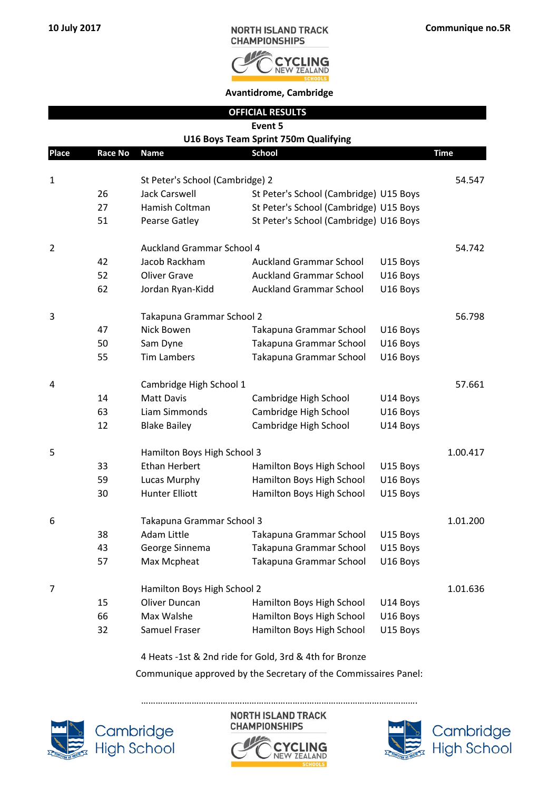

|              |                |                                                     | <b>OFFICIAL RESULTS</b>                |                      |             |
|--------------|----------------|-----------------------------------------------------|----------------------------------------|----------------------|-------------|
|              |                |                                                     | Event 5                                |                      |             |
|              |                |                                                     | U16 Boys Team Sprint 750m Qualifying   |                      |             |
| <b>Place</b> | <b>Race No</b> | <b>Name</b>                                         | <b>School</b>                          |                      | <b>Time</b> |
|              |                |                                                     |                                        |                      |             |
| $\mathbf 1$  |                | St Peter's School (Cambridge) 2                     |                                        |                      | 54.547      |
|              | 26             | <b>Jack Carswell</b>                                | St Peter's School (Cambridge) U15 Boys |                      |             |
|              | 27             | Hamish Coltman                                      | St Peter's School (Cambridge) U15 Boys |                      |             |
|              | 51             | <b>Pearse Gatley</b>                                | St Peter's School (Cambridge) U16 Boys |                      |             |
| 2            |                | <b>Auckland Grammar School 4</b>                    |                                        |                      | 54.742      |
|              | 42             | Jacob Rackham                                       | <b>Auckland Grammar School</b>         | U15 Boys             |             |
|              | 52             | <b>Oliver Grave</b>                                 | <b>Auckland Grammar School</b>         | U16 Boys             |             |
|              | 62             | Jordan Ryan-Kidd                                    | <b>Auckland Grammar School</b>         | U16 Boys             |             |
| 3            |                | Takapuna Grammar School 2                           |                                        |                      | 56.798      |
|              | 47             | Nick Bowen                                          | Takapuna Grammar School                | U16 Boys             |             |
|              | 50             | Sam Dyne                                            | Takapuna Grammar School                | U16 Boys             |             |
|              | 55             | <b>Tim Lambers</b>                                  | Takapuna Grammar School                | U16 Boys             |             |
|              |                |                                                     |                                        |                      |             |
| 4            |                | Cambridge High School 1                             |                                        |                      | 57.661      |
|              | 14             | <b>Matt Davis</b>                                   | Cambridge High School                  | U14 Boys             |             |
|              | 63             | Liam Simmonds                                       | Cambridge High School                  | U16 Boys             |             |
|              | 12             | <b>Blake Bailey</b>                                 | Cambridge High School                  | U14 Boys             |             |
| 5            |                |                                                     |                                        |                      | 1.00.417    |
|              | 33             | Hamilton Boys High School 3<br><b>Ethan Herbert</b> | Hamilton Boys High School              |                      |             |
|              | 59             |                                                     | Hamilton Boys High School              | U15 Boys             |             |
|              | 30             | Lucas Murphy<br><b>Hunter Elliott</b>               | Hamilton Boys High School              | U16 Boys<br>U15 Boys |             |
|              |                |                                                     |                                        |                      |             |
| 6            |                | Takapuna Grammar School 3                           |                                        |                      | 1.01.200    |
|              | 38             | Adam Little                                         | Takapuna Grammar School                | U15 Boys             |             |
|              | 43             | George Sinnema                                      | Takapuna Grammar School                | U15 Boys             |             |
|              | 57             | Max Mcpheat                                         | Takapuna Grammar School                | U16 Boys             |             |
| 7            |                | Hamilton Boys High School 2                         |                                        |                      | 1.01.636    |
|              | 15             | <b>Oliver Duncan</b>                                | Hamilton Boys High School              | U14 Boys             |             |
|              | 66             | Max Walshe                                          | Hamilton Boys High School              | U16 Boys             |             |
|              | 32             | Samuel Fraser                                       | Hamilton Boys High School              | U15 Boys             |             |

4 Heats -1st & 2nd ride for Gold, 3rd & 4th for Bronze

Communique approved by the Secretary of the Commissaires Panel:



Cambridge<br>High School

**NORTH ISLAND TRACK CHAMPIONSHIPS** 

…………………………………………………………………………………………………….





Cambridge<br>High School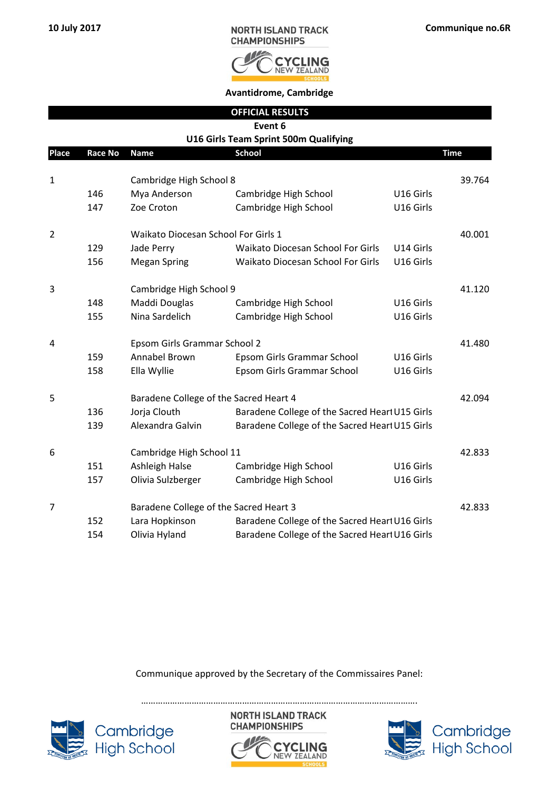

|                |         |                                        | <b>OFFICIAL RESULTS</b>                        |           |             |
|----------------|---------|----------------------------------------|------------------------------------------------|-----------|-------------|
|                |         |                                        | Event 6                                        |           |             |
|                |         |                                        | U16 Girls Team Sprint 500m Qualifying          |           |             |
| Place          | Race No | <b>Name</b>                            | <b>School</b>                                  |           | <b>Time</b> |
| 1              |         | Cambridge High School 8                |                                                |           | 39.764      |
|                | 146     | Mya Anderson                           | Cambridge High School                          | U16 Girls |             |
|                | 147     | Zoe Croton                             | Cambridge High School                          | U16 Girls |             |
| $\overline{2}$ |         | Waikato Diocesan School For Girls 1    |                                                |           | 40.001      |
|                | 129     | Jade Perry                             | Waikato Diocesan School For Girls              | U14 Girls |             |
|                | 156     | <b>Megan Spring</b>                    | Waikato Diocesan School For Girls              | U16 Girls |             |
| 3              |         | Cambridge High School 9                |                                                |           | 41.120      |
|                | 148     | Maddi Douglas                          | Cambridge High School                          | U16 Girls |             |
|                | 155     | Nina Sardelich                         | Cambridge High School                          | U16 Girls |             |
| 4              |         | Epsom Girls Grammar School 2           |                                                |           | 41.480      |
|                | 159     | Annabel Brown                          | Epsom Girls Grammar School                     | U16 Girls |             |
|                | 158     | Ella Wyllie                            | Epsom Girls Grammar School                     | U16 Girls |             |
| 5              |         | Baradene College of the Sacred Heart 4 |                                                |           | 42.094      |
|                | 136     | Jorja Clouth                           | Baradene College of the Sacred Hearl U15 Girls |           |             |
|                | 139     | Alexandra Galvin                       | Baradene College of the Sacred Hearl U15 Girls |           |             |
| 6              |         | Cambridge High School 11               |                                                |           | 42.833      |
|                | 151     | Ashleigh Halse                         | Cambridge High School                          | U16 Girls |             |
|                | 157     | Olivia Sulzberger                      | Cambridge High School                          | U16 Girls |             |
| $\overline{7}$ |         | Baradene College of the Sacred Heart 3 |                                                |           | 42.833      |
|                | 152     | Lara Hopkinson                         | Baradene College of the Sacred Hearl U16 Girls |           |             |
|                | 154     | Olivia Hyland                          | Baradene College of the Sacred Hearl U16 Girls |           |             |

Communique approved by the Secretary of the Commissaires Panel:



**NORTH ISLAND TRACK CHAMPIONSHIPS** 



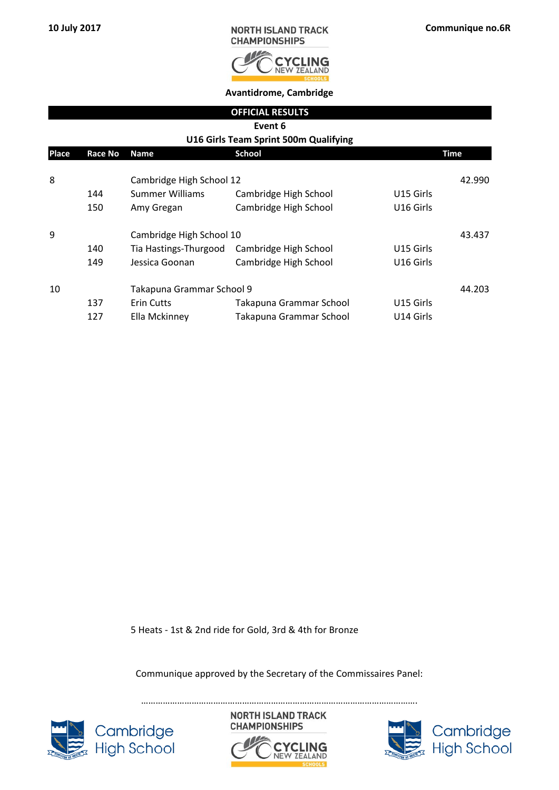

|       |                |                           | <b>OFFICIAL RESULTS</b>               |           |             |  |  |
|-------|----------------|---------------------------|---------------------------------------|-----------|-------------|--|--|
|       | Event 6        |                           |                                       |           |             |  |  |
|       |                |                           | U16 Girls Team Sprint 500m Qualifying |           |             |  |  |
| Place | <b>Race No</b> | Name                      | <b>School</b>                         |           | <b>Time</b> |  |  |
|       |                |                           |                                       |           |             |  |  |
| 8     |                | Cambridge High School 12  |                                       |           | 42.990      |  |  |
|       | 144            | Summer Williams           | Cambridge High School                 | U15 Girls |             |  |  |
|       | 150            | Amy Gregan                | Cambridge High School                 | U16 Girls |             |  |  |
| 9     |                | Cambridge High School 10  |                                       |           | 43.437      |  |  |
|       | 140            | Tia Hastings-Thurgood     | Cambridge High School                 | U15 Girls |             |  |  |
|       | 149            | Jessica Goonan            | Cambridge High School                 | U16 Girls |             |  |  |
| 10    |                | Takapuna Grammar School 9 |                                       |           | 44.203      |  |  |
|       | 137            | <b>Erin Cutts</b>         | Takapuna Grammar School               | U15 Girls |             |  |  |
|       | 127            | Ella Mckinney             | Takapuna Grammar School               | U14 Girls |             |  |  |

5 Heats - 1st & 2nd ride for Gold, 3rd & 4th for Bronze

Communique approved by the Secretary of the Commissaires Panel:

…………………………………………………………………………………………………….



**NORTH ISLAND TRACK CHAMPIONSHIPS** 



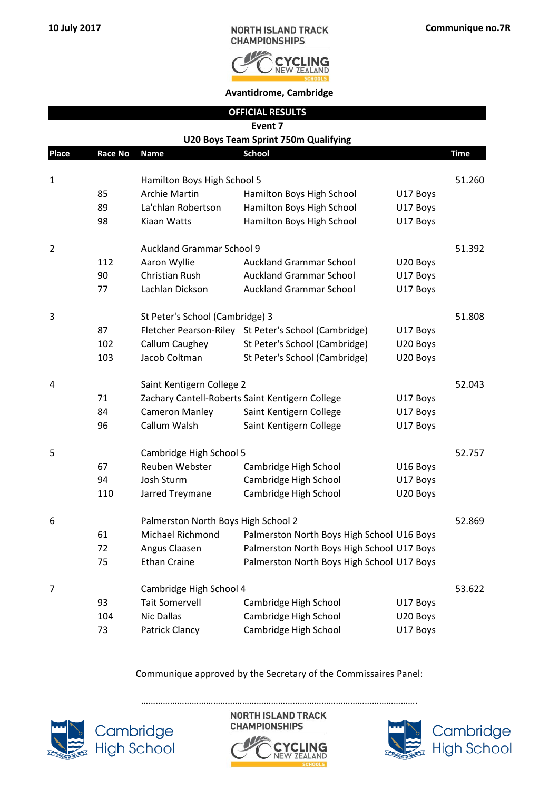

|                |                |                                     | <b>OFFICIAL RESULTS</b>                              |          |             |
|----------------|----------------|-------------------------------------|------------------------------------------------------|----------|-------------|
|                |                |                                     | Event 7                                              |          |             |
|                |                |                                     | U20 Boys Team Sprint 750m Qualifying                 |          |             |
| <b>Place</b>   | <b>Race No</b> | Name                                | <b>School</b>                                        |          | <b>Time</b> |
| 1              |                | Hamilton Boys High School 5         |                                                      |          | 51.260      |
|                | 85             | <b>Archie Martin</b>                | Hamilton Boys High School                            | U17 Boys |             |
|                | 89             | La'chlan Robertson                  | Hamilton Boys High School                            | U17 Boys |             |
|                | 98             | Kiaan Watts                         | Hamilton Boys High School                            | U17 Boys |             |
| $\overline{2}$ |                | <b>Auckland Grammar School 9</b>    |                                                      |          | 51.392      |
|                | 112            | Aaron Wyllie                        | <b>Auckland Grammar School</b>                       | U20 Boys |             |
|                | 90             | Christian Rush                      | <b>Auckland Grammar School</b>                       | U17 Boys |             |
|                | 77             | Lachlan Dickson                     | <b>Auckland Grammar School</b>                       | U17 Boys |             |
| 3              |                | St Peter's School (Cambridge) 3     |                                                      |          | 51.808      |
|                | 87             |                                     | Fletcher Pearson-Riley St Peter's School (Cambridge) | U17 Boys |             |
|                | 102            | Callum Caughey                      | St Peter's School (Cambridge)                        | U20 Boys |             |
|                | 103            | Jacob Coltman                       | St Peter's School (Cambridge)                        | U20 Boys |             |
| 4              |                | Saint Kentigern College 2           |                                                      |          | 52.043      |
|                | 71             |                                     | Zachary Cantell-Roberts Saint Kentigern College      | U17 Boys |             |
|                | 84             | <b>Cameron Manley</b>               | Saint Kentigern College                              | U17 Boys |             |
|                | 96             | Callum Walsh                        | Saint Kentigern College                              | U17 Boys |             |
| 5              |                | Cambridge High School 5             |                                                      |          | 52.757      |
|                | 67             | Reuben Webster                      | Cambridge High School                                | U16 Boys |             |
|                | 94             | Josh Sturm                          | Cambridge High School                                | U17 Boys |             |
|                | 110            | Jarred Treymane                     | Cambridge High School                                | U20 Boys |             |
| 6              |                | Palmerston North Boys High School 2 |                                                      |          | 52.869      |
|                | 61             | <b>Michael Richmond</b>             | Palmerston North Boys High School U16 Boys           |          |             |
|                | 72             | Angus Claasen                       | Palmerston North Boys High School U17 Boys           |          |             |
|                | 75             | <b>Ethan Craine</b>                 | Palmerston North Boys High School U17 Boys           |          |             |
| 7              |                | Cambridge High School 4             |                                                      |          | 53.622      |
|                | 93             | <b>Tait Somervell</b>               | Cambridge High School                                | U17 Boys |             |
|                | 104            | <b>Nic Dallas</b>                   | Cambridge High School                                | U20 Boys |             |
|                | 73             | Patrick Clancy                      | Cambridge High School                                | U17 Boys |             |

Communique approved by the Secretary of the Commissaires Panel:



Cambridge<br>High School

…………………………………………………………………………………………………….**NORTH ISLAND TRACK CHAMPIONSHIPS** 



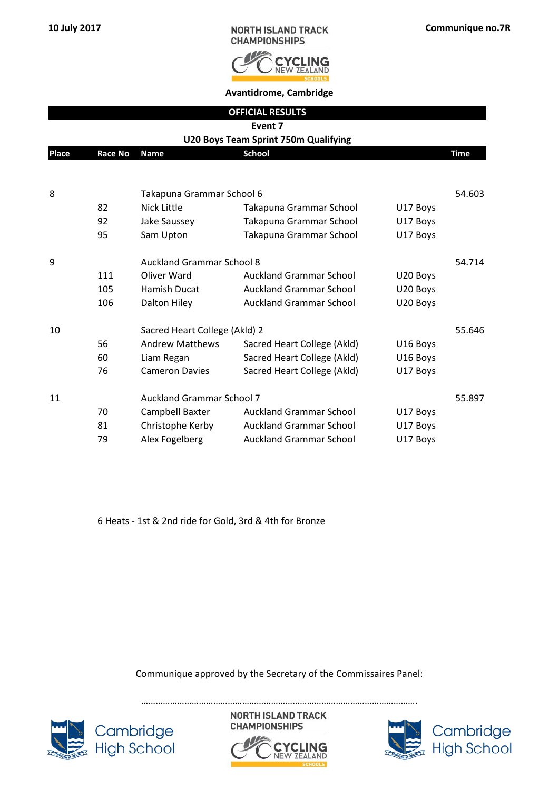

**Avantidrome, Cambridge**

|              |                |                                  | <b>OFFICIAL RESULTS</b>                     |          |             |
|--------------|----------------|----------------------------------|---------------------------------------------|----------|-------------|
|              |                |                                  | Event 7                                     |          |             |
|              |                |                                  | <b>U20 Boys Team Sprint 750m Qualifying</b> |          |             |
| <b>Place</b> | <b>Race No</b> | <b>Name</b>                      | <b>School</b>                               |          | <b>Time</b> |
|              |                |                                  |                                             |          |             |
| 8            |                | Takapuna Grammar School 6        |                                             |          | 54.603      |
|              | 82             | Nick Little                      | Takapuna Grammar School                     | U17 Boys |             |
|              | 92             | Jake Saussey                     | Takapuna Grammar School                     | U17 Boys |             |
|              | 95             | Sam Upton                        | Takapuna Grammar School                     | U17 Boys |             |
| 9            |                | <b>Auckland Grammar School 8</b> |                                             |          | 54.714      |
|              | 111            | Oliver Ward                      | <b>Auckland Grammar School</b>              | U20 Boys |             |
|              | 105            | Hamish Ducat                     | <b>Auckland Grammar School</b>              | U20 Boys |             |
|              | 106            | Dalton Hiley                     | <b>Auckland Grammar School</b>              | U20 Boys |             |
| 10           |                | Sacred Heart College (Akld) 2    |                                             |          | 55.646      |
|              | 56             | <b>Andrew Matthews</b>           | Sacred Heart College (Akld)                 | U16 Boys |             |
|              | 60             | Liam Regan                       | Sacred Heart College (Akld)                 | U16 Boys |             |
|              | 76             | <b>Cameron Davies</b>            | Sacred Heart College (Akld)                 | U17 Boys |             |
| 11           |                | <b>Auckland Grammar School 7</b> |                                             |          | 55.897      |
|              | 70             | Campbell Baxter                  | <b>Auckland Grammar School</b>              | U17 Boys |             |
|              | 81             | Christophe Kerby                 | <b>Auckland Grammar School</b>              | U17 Boys |             |
|              | 79             | Alex Fogelberg                   | <b>Auckland Grammar School</b>              | U17 Boys |             |

6 Heats - 1st & 2nd ride for Gold, 3rd & 4th for Bronze

Communique approved by the Secretary of the Commissaires Panel:



**NORTH ISLAND TRACK CHAMPIONSHIPS** 



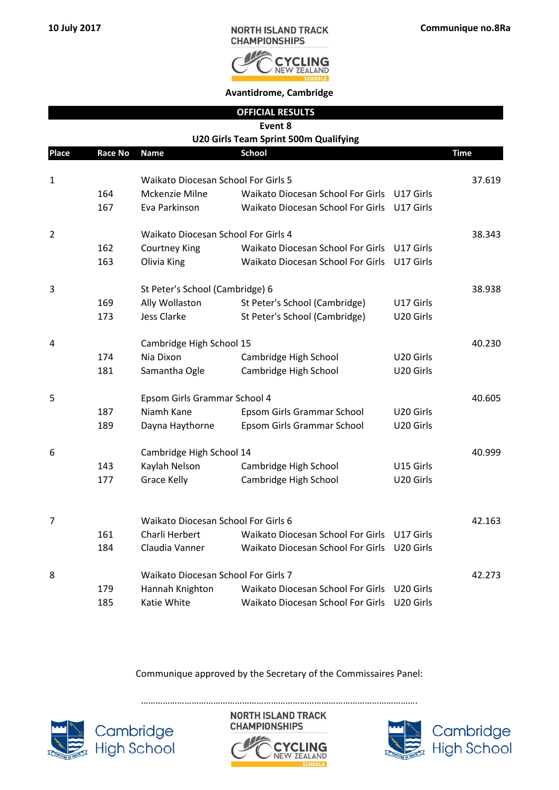

| <b>OFFICIAL RESULTS</b>               |
|---------------------------------------|
| Event 8                               |
| U20 Girls Team Sprint 500m Qualifying |

| <b>Place</b>   | <b>Race No</b> | <b>Name</b>                                | <b>School</b>                            |                       | <b>Time</b> |
|----------------|----------------|--------------------------------------------|------------------------------------------|-----------------------|-------------|
|                |                |                                            |                                          |                       |             |
| $\mathbf 1$    |                | <b>Waikato Diocesan School For Girls 5</b> |                                          |                       | 37.619      |
|                | 164            | Mckenzie Milne                             | Waikato Diocesan School For Girls        | U17 Girls             |             |
|                | 167            | Eva Parkinson                              | Waikato Diocesan School For Girls        | U17 Girls             |             |
| $\overline{2}$ |                | Waikato Diocesan School For Girls 4        |                                          |                       | 38.343      |
|                | 162            | <b>Courtney King</b>                       | Waikato Diocesan School For Girls        | U17 Girls             |             |
|                | 163            | Olivia King                                | Waikato Diocesan School For Girls        | U17 Girls             |             |
| 3              |                | St Peter's School (Cambridge) 6            |                                          |                       | 38.938      |
|                | 169            | Ally Wollaston                             | St Peter's School (Cambridge)            | U17 Girls             |             |
|                | 173            | <b>Jess Clarke</b>                         | St Peter's School (Cambridge)            | U20 Girls             |             |
| 4              |                | Cambridge High School 15                   |                                          |                       | 40.230      |
|                | 174            | Nia Dixon                                  | Cambridge High School                    | U20 Girls             |             |
|                | 181            | Samantha Ogle                              | Cambridge High School                    | U20 Girls             |             |
| 5              |                | Epsom Girls Grammar School 4               |                                          |                       | 40.605      |
|                | 187            | Niamh Kane                                 | Epsom Girls Grammar School               | U20 Girls             |             |
|                | 189            | Dayna Haythorne                            | Epsom Girls Grammar School               | U20 Girls             |             |
| 6              |                | Cambridge High School 14                   |                                          |                       | 40.999      |
|                | 143            | Kaylah Nelson                              | Cambridge High School                    | U15 Girls             |             |
|                | 177            | <b>Grace Kelly</b>                         | Cambridge High School                    | U20 Girls             |             |
|                |                |                                            |                                          |                       |             |
| $\overline{7}$ |                | Waikato Diocesan School For Girls 6        |                                          |                       | 42.163      |
|                | 161            | Charli Herbert                             | Waikato Diocesan School For Girls        | U17 Girls             |             |
|                | 184            | Claudia Vanner                             | <b>Waikato Diocesan School For Girls</b> | U20 Girls             |             |
| 8              |                | Waikato Diocesan School For Girls 7        |                                          |                       | 42.273      |
|                | 179            | Hannah Knighton                            | Waikato Diocesan School For Girls        | U20 Girls             |             |
|                | 185            | Katie White                                | Waikato Diocesan School For Girls        | U <sub>20</sub> Girls |             |

Communique approved by the Secretary of the Commissaires Panel:

Cambridge<br>High School

**NORTH ISLAND TRACK CHAMPIONSHIPS** 



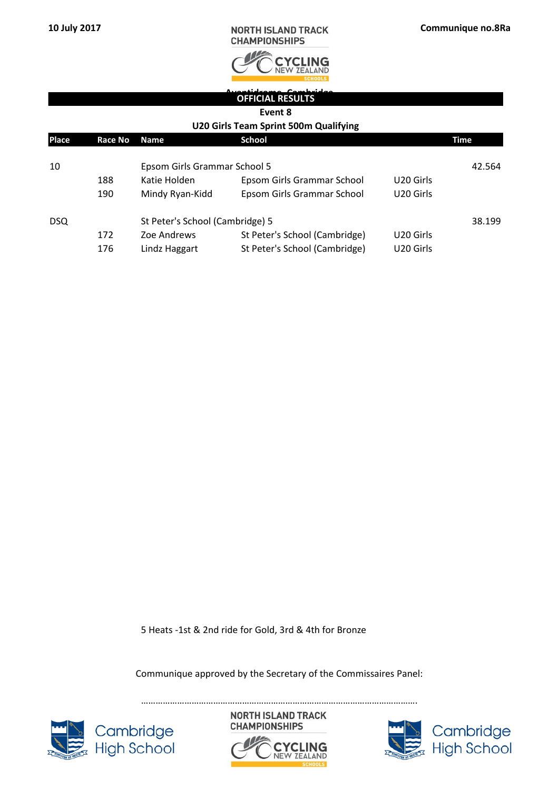| <b>NORTH ISLAND TRACK</b> |  |
|---------------------------|--|
| <b>CHAMPIONSHIPS</b>      |  |



## **Avantidrome, Cambridge OFFICIAL RESULTS**

#### **Event 8**

#### **U20 Girls Team Sprint 500m Qualifying**

| Place | Race No | <b>Name</b>                     | <b>School</b>                 |                       | Time   |
|-------|---------|---------------------------------|-------------------------------|-----------------------|--------|
| 10    |         | Epsom Girls Grammar School 5    |                               |                       | 42.564 |
|       | 188     | Katie Holden                    | Epsom Girls Grammar School    | U <sub>20</sub> Girls |        |
|       | 190     | Mindy Ryan-Kidd                 | Epsom Girls Grammar School    | U20 Girls             |        |
| DSQ.  |         | St Peter's School (Cambridge) 5 |                               |                       | 38.199 |
|       | 172     | Zoe Andrews                     | St Peter's School (Cambridge) | U <sub>20</sub> Girls |        |
|       | 176     | Lindz Haggart                   | St Peter's School (Cambridge) | U20 Girls             |        |

5 Heats -1st & 2nd ride for Gold, 3rd & 4th for Bronze

Communique approved by the Secretary of the Commissaires Panel:







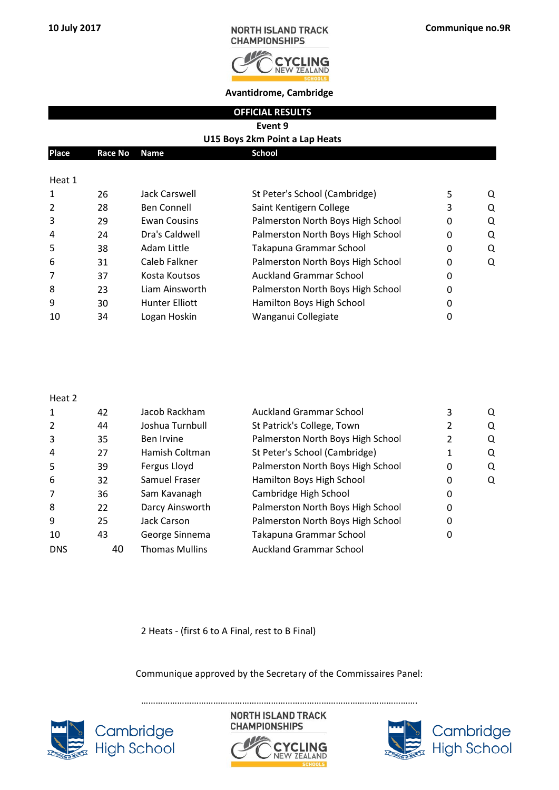

**Avantidrome, Cambridge**

|  | <b>OFFICIAL RESULTS</b> |  |
|--|-------------------------|--|
|  |                         |  |

**Event 9**

#### **U15 Boys 2km Point a Lap Heats**

| Place  | Race No Name |               | School                        |   |  |
|--------|--------------|---------------|-------------------------------|---|--|
|        |              |               |                               |   |  |
| Heat 1 |              |               |                               |   |  |
| 1      | 26           | Jack Carswell | St Peter's School (Cambridge) | 5 |  |
|        |              |               |                               |   |  |

| 2              | 28 | Ben Connell           | Saint Kentigern College           | Ω |
|----------------|----|-----------------------|-----------------------------------|---|
| 3              | 29 | <b>Ewan Cousins</b>   | Palmerston North Boys High School | O |
| $\overline{4}$ | 24 | Dra's Caldwell        | Palmerston North Boys High School | O |
| -5             | 38 | Adam Little           | Takapuna Grammar School           | O |
| 6              | 31 | Caleb Falkner         | Palmerston North Boys High School | Ω |
| $\overline{7}$ | 37 | Kosta Koutsos         | <b>Auckland Grammar School</b>    |   |
| 8              | 23 | Liam Ainsworth        | Palmerston North Boys High School |   |
| 9              | 30 | <b>Hunter Elliott</b> | Hamilton Boys High School         |   |
| 10             | 34 | Logan Hoskin          | Wanganui Collegiate               |   |

#### Heat 2

| $\mathbf{1}$   | 42 | Jacob Rackham         | <b>Auckland Grammar School</b>    |   | Q |
|----------------|----|-----------------------|-----------------------------------|---|---|
| $\overline{2}$ | 44 | Joshua Turnbull       | St Patrick's College, Town        |   | Q |
| 3              | 35 | Ben Irvine            | Palmerston North Boys High School |   | Q |
| 4              | 27 | Hamish Coltman        | St Peter's School (Cambridge)     |   | Q |
| 5              | 39 | Fergus Lloyd          | Palmerston North Boys High School | 0 | Q |
| 6              | 32 | Samuel Fraser         | Hamilton Boys High School         | 0 | Q |
| 7              | 36 | Sam Kavanagh          | Cambridge High School             | 0 |   |
| 8              | 22 | Darcy Ainsworth       | Palmerston North Boys High School | 0 |   |
| 9              | 25 | Jack Carson           | Palmerston North Boys High School | 0 |   |
| 10             | 43 | George Sinnema        | Takapuna Grammar School           | 0 |   |
| <b>DNS</b>     | 40 | <b>Thomas Mullins</b> | <b>Auckland Grammar School</b>    |   |   |

2 Heats - (first 6 to A Final, rest to B Final)

Communique approved by the Secretary of the Commissaires Panel:



**NORTH ISLAND TRACK CHAMPIONSHIPS** 



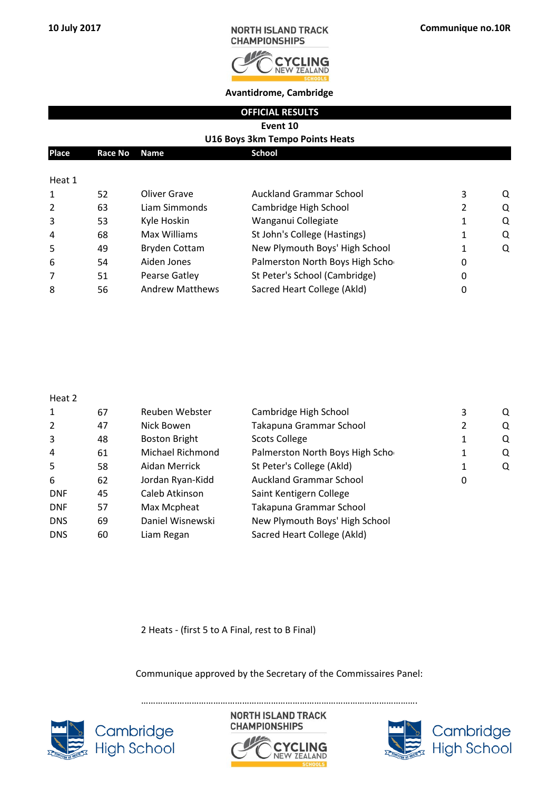

**Avantidrome, Cambridge**

|  | <b>OFFICIAL RESULTS</b> |
|--|-------------------------|
|  |                         |
|  |                         |

**Event 10**

#### **U16 Boys 3km Tempo Points Heats**

| Place          | Race No | <b>Name</b>          | <b>School</b>                   |   |   |
|----------------|---------|----------------------|---------------------------------|---|---|
|                |         |                      |                                 |   |   |
| Heat 1         |         |                      |                                 |   |   |
| 1              | 52      | Oliver Grave         | Auckland Grammar School         | 3 | Q |
| 2              | 63      | Liam Simmonds        | Cambridge High School           |   | Q |
| 3              | 53      | Kyle Hoskin          | Wanganui Collegiate             |   | Q |
| $\overline{4}$ | 68      | Max Williams         | St John's College (Hastings)    |   | Q |
| 5              | 49      | <b>Bryden Cottam</b> | New Plymouth Boys' High School  |   | Q |
| 6              | 54      | Aiden Jones          | Palmerston North Boys High Scho |   |   |

7 51 Pearse Gatley St Peter's School (Cambridge) 6 0 8 56 Andrew Matthews Sacred Heart College (Akld) 6 0

| ۰.<br>۰,<br>× |
|---------------|
|---------------|

| $\mathbf{1}$ | 67 | Reuben Webster       | Cambridge High School           | 3 | Q |
|--------------|----|----------------------|---------------------------------|---|---|
| 2            | 47 | Nick Bowen           | Takapuna Grammar School         | 2 | Q |
| 3            | 48 | <b>Boston Bright</b> | <b>Scots College</b>            | 1 | Q |
| 4            | 61 | Michael Richmond     | Palmerston North Boys High Scho | 1 | Q |
| 5            | 58 | Aidan Merrick        | St Peter's College (Akld)       | 1 | Q |
| 6            | 62 | Jordan Ryan-Kidd     | <b>Auckland Grammar School</b>  | 0 |   |
| <b>DNF</b>   | 45 | Caleb Atkinson       | Saint Kentigern College         |   |   |
| <b>DNF</b>   | 57 | Max Mcpheat          | Takapuna Grammar School         |   |   |
| <b>DNS</b>   | 69 | Daniel Wisnewski     | New Plymouth Boys' High School  |   |   |
| <b>DNS</b>   | 60 | Liam Regan           | Sacred Heart College (Akld)     |   |   |
|              |    |                      |                                 |   |   |

2 Heats - (first 5 to A Final, rest to B Final)

Communique approved by the Secretary of the Commissaires Panel:

…………………………………………………………………………………………………….



**NORTH ISLAND TRACK CHAMPIONSHIPS ZEALAND** 



Cambridge<br>High School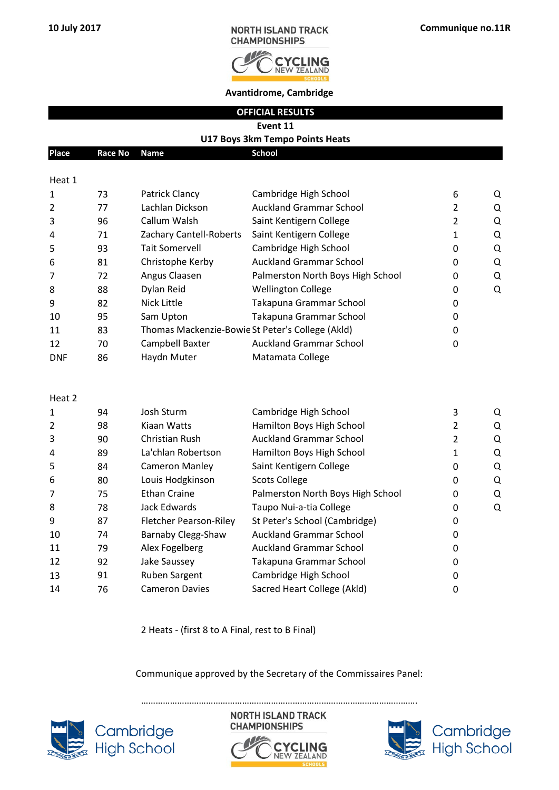

**Avantidrome, Cambridge**

**OFFICIAL RESULTS**

**Event 11**

#### **U17 Boys 3km Tempo Points Heats**

| <b>Place</b>   | <b>Race No</b> | <b>Name</b>                   | <b>School</b>                                    |                |   |
|----------------|----------------|-------------------------------|--------------------------------------------------|----------------|---|
| Heat 1         |                |                               |                                                  |                |   |
| $\mathbf{1}$   | 73             | Patrick Clancy                | Cambridge High School                            | 6              | Q |
| 2              | 77             | Lachlan Dickson               | <b>Auckland Grammar School</b>                   | $\overline{2}$ | Q |
| 3              | 96             | Callum Walsh                  | Saint Kentigern College                          | $\overline{2}$ | Q |
| 4              | 71             | Zachary Cantell-Roberts       | Saint Kentigern College                          | $\mathbf{1}$   | Q |
| 5              | 93             | <b>Tait Somervell</b>         | Cambridge High School                            | 0              | Q |
| 6              | 81             | Christophe Kerby              | <b>Auckland Grammar School</b>                   | 0              | Q |
| 7              | 72             | Angus Claasen                 | Palmerston North Boys High School                | 0              | Q |
| 8              | 88             | Dylan Reid                    | <b>Wellington College</b>                        | 0              | Q |
| 9              | 82             | <b>Nick Little</b>            | Takapuna Grammar School                          | 0              |   |
| 10             | 95             | Sam Upton                     | Takapuna Grammar School                          | 0              |   |
| 11             | 83             |                               | Thomas Mackenzie-Bowie St Peter's College (Akld) | 0              |   |
| 12             | 70             | Campbell Baxter               | <b>Auckland Grammar School</b>                   | 0              |   |
| <b>DNF</b>     | 86             | Haydn Muter                   | Matamata College                                 |                |   |
| Heat 2         |                |                               |                                                  |                |   |
| $\mathbf{1}$   | 94             | Josh Sturm                    | Cambridge High School                            | 3              | Q |
| $\overline{2}$ | 98             | Kiaan Watts                   | Hamilton Boys High School                        | $\overline{2}$ | Q |
| 3              | 90             | <b>Christian Rush</b>         | <b>Auckland Grammar School</b>                   | $\overline{2}$ | Q |
| 4              | 89             | La'chlan Robertson            | Hamilton Boys High School                        | $\mathbf{1}$   | Q |
| 5              | 84             | <b>Cameron Manley</b>         | Saint Kentigern College                          | 0              | Q |
| 6              | 80             | Louis Hodgkinson              | <b>Scots College</b>                             | 0              | Q |
| 7              | 75             | <b>Ethan Craine</b>           | Palmerston North Boys High School                | 0              | Q |
| 8              | 78             | Jack Edwards                  | Taupo Nui-a-tia College                          | 0              | Q |
| 9              | 87             | <b>Fletcher Pearson-Riley</b> | St Peter's School (Cambridge)                    | 0              |   |
| 10             | 74             | Barnaby Clegg-Shaw            | <b>Auckland Grammar School</b>                   | 0              |   |
| 11             | 79             | Alex Fogelberg                | <b>Auckland Grammar School</b>                   | 0              |   |
| 12             | 92             | Jake Saussey                  | Takapuna Grammar School                          | 0              |   |
| 13             | 91             | Ruben Sargent                 | Cambridge High School                            | 0              |   |

2 Heats - (first 8 to A Final, rest to B Final)

14 76 Cameron Davies Sacred Heart College (Akld) 0

#### Communique approved by the Secretary of the Commissaires Panel:





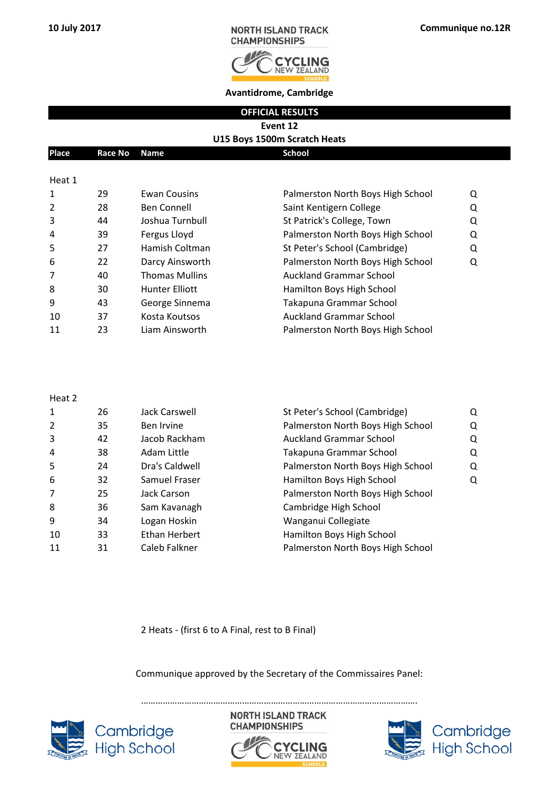

**Avantidrome, Cambridge**

**OFFICIAL RESULTS**

# **Event 12**

| U15 Boys 1500m Scratch Heats |                                         |                       |                                   |   |  |  |
|------------------------------|-----------------------------------------|-----------------------|-----------------------------------|---|--|--|
| <b>Place</b>                 | <b>School</b><br>Race No<br><b>Name</b> |                       |                                   |   |  |  |
|                              |                                         |                       |                                   |   |  |  |
| Heat 1                       |                                         |                       |                                   |   |  |  |
| 1                            | 29                                      | <b>Ewan Cousins</b>   | Palmerston North Boys High School | Q |  |  |
| $\overline{2}$               | 28                                      | <b>Ben Connell</b>    | Saint Kentigern College           | Q |  |  |
| 3                            | 44                                      | Joshua Turnbull       | St Patrick's College, Town        | Q |  |  |
| 4                            | 39                                      | Fergus Lloyd          | Palmerston North Boys High School | Q |  |  |
| 5                            | 27                                      | Hamish Coltman        | St Peter's School (Cambridge)     | Q |  |  |
| 6                            | 22                                      | Darcy Ainsworth       | Palmerston North Boys High School | Q |  |  |
| 7                            | 40                                      | <b>Thomas Mullins</b> | <b>Auckland Grammar School</b>    |   |  |  |
| 8                            | 30                                      | <b>Hunter Elliott</b> | Hamilton Boys High School         |   |  |  |
| 9                            | 43                                      | George Sinnema        | Takapuna Grammar School           |   |  |  |

| q   | 43 | George Sinnema | Takapuna Grammar School           |
|-----|----|----------------|-----------------------------------|
| -10 | 37 | Kosta Koutsos  | Auckland Grammar School           |
| -11 | 23 | Liam Ainsworth | Palmerston North Boys High School |

| c<br>a<br>× |  |
|-------------|--|
|-------------|--|

| $\mathbf{1}$ | 26 | Jack Carswell  | St Peter's School (Cambridge)     | Q |
|--------------|----|----------------|-----------------------------------|---|
| 2            | 35 | Ben Irvine     | Palmerston North Boys High School | Q |
| 3            | 42 | Jacob Rackham  | <b>Auckland Grammar School</b>    | O |
| 4            | 38 | Adam Little    | Takapuna Grammar School           | Q |
| 5            | 24 | Dra's Caldwell | Palmerston North Boys High School | Q |
| 6            | 32 | Samuel Fraser  | Hamilton Boys High School         | O |
| 7            | 25 | Jack Carson    | Palmerston North Boys High School |   |
| 8            | 36 | Sam Kavanagh   | Cambridge High School             |   |
| 9            | 34 | Logan Hoskin   | Wanganui Collegiate               |   |
| 10           | 33 | Ethan Herbert  | Hamilton Boys High School         |   |
| 11           | 31 | Caleb Falkner  | Palmerston North Boys High School |   |
|              |    |                |                                   |   |

2 Heats - (first 6 to A Final, rest to B Final)

Communique approved by the Secretary of the Commissaires Panel:

…………………………………………………………………………………………………….



**NORTH ISLAND TRACK CHAMPIONSHIPS** 



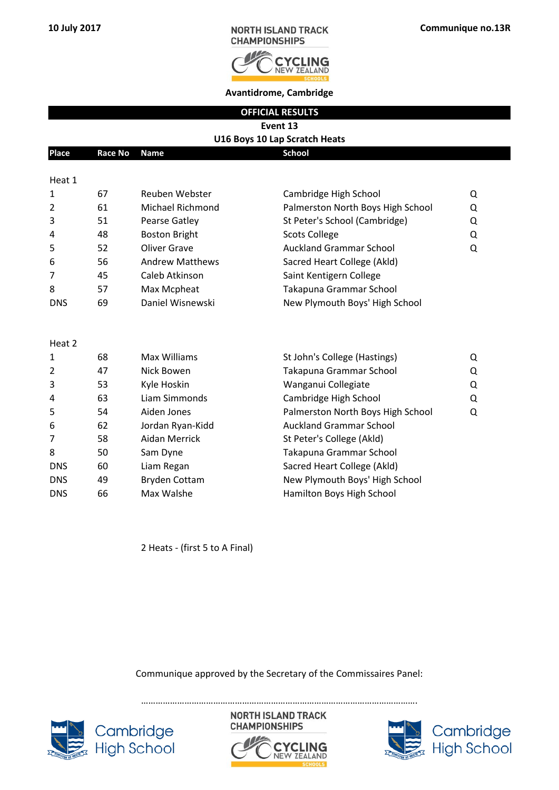

**Avantidrome, Cambridge**

**OFFICIAL RESULTS**

### **U16 Boys 10 Lap Scratch Heats**

| Place      | <b>Race No</b> | <b>Name</b>            | <b>School</b>                     |   |
|------------|----------------|------------------------|-----------------------------------|---|
| Heat 1     |                |                        |                                   |   |
| 1          | 67             | Reuben Webster         | Cambridge High School             | Q |
| 2          | 61             | Michael Richmond       | Palmerston North Boys High School | Q |
| 3          | 51             | Pearse Gatley          | St Peter's School (Cambridge)     | Q |
| 4          | 48             | <b>Boston Bright</b>   | <b>Scots College</b>              | Q |
| 5          | 52             | <b>Oliver Grave</b>    | <b>Auckland Grammar School</b>    | Q |
| 6          | 56             | <b>Andrew Matthews</b> | Sacred Heart College (Akld)       |   |
| 7          | 45             | Caleb Atkinson         | Saint Kentigern College           |   |
| 8          | 57             | Max Mcpheat            | Takapuna Grammar School           |   |
| <b>DNS</b> | 69             | Daniel Wisnewski       | New Plymouth Boys' High School    |   |
| Heat 2     |                |                        |                                   |   |
| 1          | 68             | Max Williams           | St John's College (Hastings)      | Q |
| 2          | 47             | Nick Bowen             | Takapuna Grammar School           | Q |
| 3          | 53             | Kyle Hoskin            | Wanganui Collegiate               | Q |
| 4          | 63             | Liam Simmonds          | Cambridge High School             | Q |
|            |                |                        |                                   |   |

| 5              | 54 | Aiden Jones          | Palmerston North Boys High School<br>Q |
|----------------|----|----------------------|----------------------------------------|
| 6              | 62 | Jordan Ryan-Kidd     | <b>Auckland Grammar School</b>         |
| $\overline{7}$ | 58 | Aidan Merrick        | St Peter's College (Akld)              |
| 8              | 50 | Sam Dyne             | Takapuna Grammar School                |
| <b>DNS</b>     | 60 | Liam Regan           | Sacred Heart College (Akld)            |
| <b>DNS</b>     | 49 | <b>Bryden Cottam</b> | New Plymouth Boys' High School         |
| <b>DNS</b>     | 66 | Max Walshe           | Hamilton Boys High School              |

2 Heats - (first 5 to A Final)

Communique approved by the Secretary of the Commissaires Panel:



…………………………………………………………………………………………………….**NORTH ISLAND TRACK CHAMPIONSHIPS** 



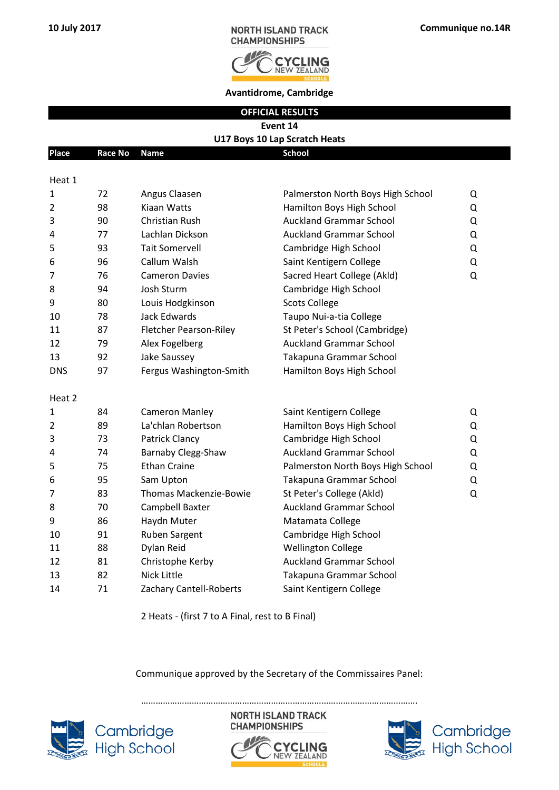

**Avantidrome, Cambridge**

**OFFICIAL RESULTS**

## **U17 Boys 10 Lap Scratch Heats**

| <b>Place</b>   | <b>Race No</b> | Name                          | <b>School</b>                     |   |
|----------------|----------------|-------------------------------|-----------------------------------|---|
| Heat 1         |                |                               |                                   |   |
| $\mathbf{1}$   | 72             | Angus Claasen                 | Palmerston North Boys High School | Q |
| 2              | 98             | Kiaan Watts                   | Hamilton Boys High School         | Q |
| 3              | 90             | <b>Christian Rush</b>         | <b>Auckland Grammar School</b>    | Q |
| 4              | 77             | Lachlan Dickson               | <b>Auckland Grammar School</b>    | Q |
| 5              | 93             | <b>Tait Somervell</b>         | Cambridge High School             | Q |
| 6              | 96             | Callum Walsh                  | Saint Kentigern College           | Q |
| 7              | 76             | <b>Cameron Davies</b>         | Sacred Heart College (Akld)       | Q |
| 8              | 94             | Josh Sturm                    | Cambridge High School             |   |
| 9              | 80             | Louis Hodgkinson              | <b>Scots College</b>              |   |
| 10             | 78             | Jack Edwards                  | Taupo Nui-a-tia College           |   |
| 11             | 87             | <b>Fletcher Pearson-Riley</b> | St Peter's School (Cambridge)     |   |
| 12             | 79             | Alex Fogelberg                | <b>Auckland Grammar School</b>    |   |
| 13             | 92             | Jake Saussey                  | Takapuna Grammar School           |   |
| <b>DNS</b>     | 97             | Fergus Washington-Smith       | Hamilton Boys High School         |   |
| Heat 2         |                |                               |                                   |   |
| 1              | 84             | <b>Cameron Manley</b>         | Saint Kentigern College           | Q |
| $\overline{2}$ | 89             | La'chlan Robertson            | Hamilton Boys High School         | Q |
| 3              | 73             | <b>Patrick Clancy</b>         | Cambridge High School             | Q |
| 4              | 74             | Barnaby Clegg-Shaw            | <b>Auckland Grammar School</b>    | Q |
| 5              | 75             | <b>Ethan Craine</b>           | Palmerston North Boys High School | Q |
| 6              | 95             | Sam Upton                     | Takapuna Grammar School           | Q |
| 7              | 83             | Thomas Mackenzie-Bowie        | St Peter's College (Akld)         | Q |
| 8              | 70             | Campbell Baxter               | <b>Auckland Grammar School</b>    |   |
| 9              | 86             | Haydn Muter                   | Matamata College                  |   |
| 10             | 91             | Ruben Sargent                 | Cambridge High School             |   |
| 11             | 88             | Dylan Reid                    | <b>Wellington College</b>         |   |
| 12             | 81             | Christophe Kerby              | <b>Auckland Grammar School</b>    |   |
| 13             | 82             | <b>Nick Little</b>            | Takapuna Grammar School           |   |
| 14             | 71             | Zachary Cantell-Roberts       | Saint Kentigern College           |   |
|                |                |                               |                                   |   |

2 Heats - (first 7 to A Final, rest to B Final)

#### Communique approved by the Secretary of the Commissaires Panel:



**NORTH ISLAND TRACK CHAMPIONSHIPS** 



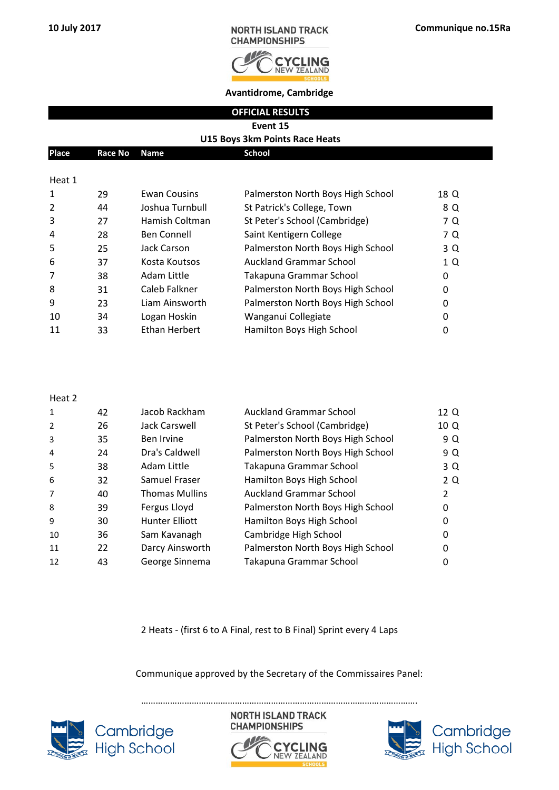

**Avantidrome, Cambridge**

**OFFICIAL RESULTS**

**Event 15**

#### **U15 Boys 3km Points Race Heats**

| Place  | Race No Name |                     | School                            |      |
|--------|--------------|---------------------|-----------------------------------|------|
|        |              |                     |                                   |      |
| Heat 1 |              |                     |                                   |      |
|        | วด           | <b>Ewan Cousins</b> | Palmerston North Roys High School | 18 N |

| <u>д.</u>      | 23 | LWUII CUUJIIIJ     | <u>I dililci stoli inoi tii boys Liigii School</u> | 10 U |
|----------------|----|--------------------|----------------------------------------------------|------|
| $\overline{2}$ | 44 | Joshua Turnbull    | St Patrick's College, Town                         | 8 Q  |
| 3              | 27 | Hamish Coltman     | St Peter's School (Cambridge)                      | 7 Q  |
| 4              | 28 | <b>Ben Connell</b> | Saint Kentigern College                            | 7 Q  |
| -5             | 25 | Jack Carson        | Palmerston North Boys High School                  | 3 Q  |
| 6              | 37 | Kosta Koutsos      | <b>Auckland Grammar School</b>                     | 1 Q  |
| 7              | 38 | Adam Little        | Takapuna Grammar School                            | 0    |
| 8              | 31 | Caleb Falkner      | Palmerston North Boys High School                  | 0    |
| 9              | 23 | Liam Ainsworth     | Palmerston North Boys High School                  | 0    |
| 10             | 34 | Logan Hoskin       | Wanganui Collegiate                                | 0    |
| 11             | 33 | Ethan Herbert      | Hamilton Boys High School                          | 0    |
|                |    |                    |                                                    |      |

#### Heat 2

| 42 | Jacob Rackham         | <b>Auckland Grammar School</b>    | 12 Q |
|----|-----------------------|-----------------------------------|------|
| 26 | Jack Carswell         | St Peter's School (Cambridge)     | 10 Q |
| 35 | Ben Irvine            | Palmerston North Boys High School | 9 Q  |
| 24 | Dra's Caldwell        | Palmerston North Boys High School | 9 Q  |
| 38 | Adam Little           | Takapuna Grammar School           | 3 Q  |
| 32 | Samuel Fraser         | Hamilton Boys High School         | 2 Q  |
| 40 | <b>Thomas Mullins</b> | <b>Auckland Grammar School</b>    | 2    |
| 39 | Fergus Lloyd          | Palmerston North Boys High School | 0    |
| 30 | Hunter Elliott        | Hamilton Boys High School         | 0    |
| 36 | Sam Kavanagh          | Cambridge High School             | 0    |
| 22 | Darcy Ainsworth       | Palmerston North Boys High School | 0    |
| 43 | George Sinnema        | Takapuna Grammar School           | 0    |
|    |                       |                                   |      |

2 Heats - (first 6 to A Final, rest to B Final) Sprint every 4 Laps

Communique approved by the Secretary of the Commissaires Panel:







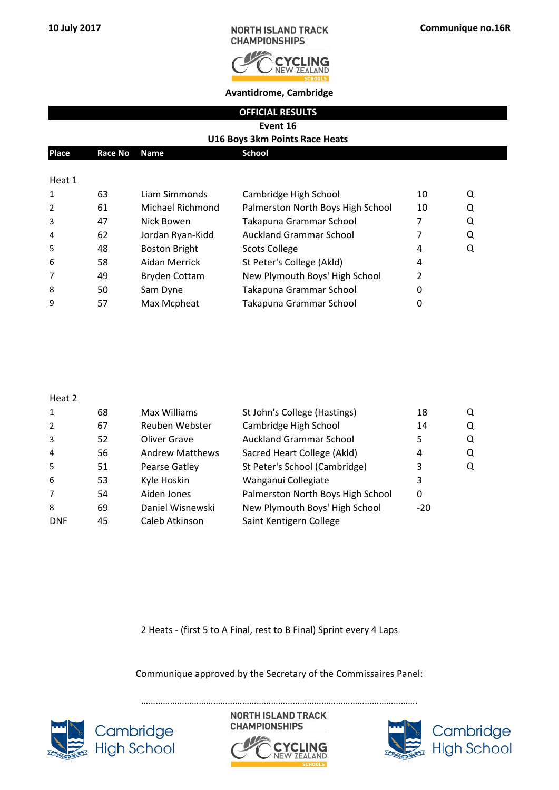

**Avantidrome, Cambridge**

**OFFICIAL RESULTS**

**Event 16**

#### **U16 Boys 3km Points Race Heats**

| <b>Place</b> | Race No Name |               | <b>School</b>         |     |  |
|--------------|--------------|---------------|-----------------------|-----|--|
|              |              |               |                       |     |  |
| Heat 1       |              |               |                       |     |  |
| $\sim$       | <b>CO</b>    | Liam Cimmonde | Cambridge High School | 1 በ |  |

|                | b3. | Liam Simmonds        | Cambridge High School             | ΙU | <u>u</u> |
|----------------|-----|----------------------|-----------------------------------|----|----------|
| 2              | 61  | Michael Richmond     | Palmerston North Boys High School | 10 | Q        |
| 3              | 47  | Nick Bowen           | Takapuna Grammar School           |    | Q        |
| $\overline{4}$ | 62  | Jordan Ryan-Kidd     | <b>Auckland Grammar School</b>    |    | Q        |
| 5              | 48  | <b>Boston Bright</b> | <b>Scots College</b>              | 4  | Q        |
| -6             | 58  | Aidan Merrick        | St Peter's College (Akld)         | 4  |          |
| $\overline{7}$ | 49  | <b>Bryden Cottam</b> | New Plymouth Boys' High School    |    |          |
| 8              | 50  | Sam Dyne             | Takapuna Grammar School           |    |          |
| 9              | 57  | Max Mcpheat          | Takapuna Grammar School           |    |          |
|                |     |                      |                                   |    |          |

#### Heat 2

| 1              | 68 | Max Williams           | St John's College (Hastings)      | 18    | Q |
|----------------|----|------------------------|-----------------------------------|-------|---|
| 2              | 67 | Reuben Webster         | Cambridge High School             | 14    | Q |
| 3              | 52 | Oliver Grave           | <b>Auckland Grammar School</b>    |       | Q |
| $\overline{4}$ | 56 | <b>Andrew Matthews</b> | Sacred Heart College (Akld)       | 4     | Q |
| 5              | 51 | Pearse Gatley          | St Peter's School (Cambridge)     | 3     | Q |
| 6              | 53 | Kyle Hoskin            | Wanganui Collegiate               | 3     |   |
| $\overline{7}$ | 54 | Aiden Jones            | Palmerston North Boys High School | 0     |   |
| 8              | 69 | Daniel Wisnewski       | New Plymouth Boys' High School    | $-20$ |   |
| <b>DNF</b>     | 45 | Caleb Atkinson         | Saint Kentigern College           |       |   |
|                |    |                        |                                   |       |   |

2 Heats - (first 5 to A Final, rest to B Final) Sprint every 4 Laps

Communique approved by the Secretary of the Commissaires Panel:



**NORTH ISLAND TRACK CHAMPIONSHIPS**